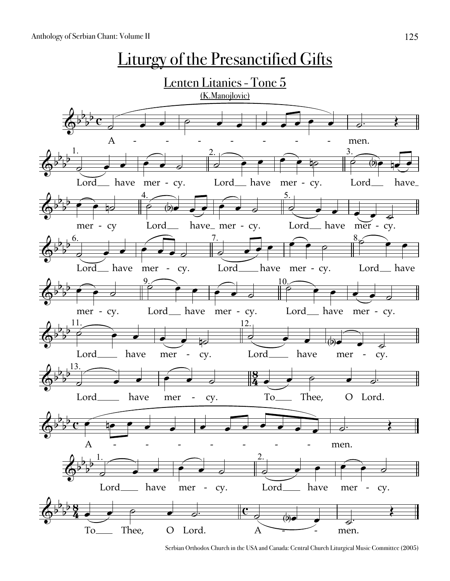

Serbian Orthodox Church in the USA and Canada: Central Church Liturgical Music Committee (2005)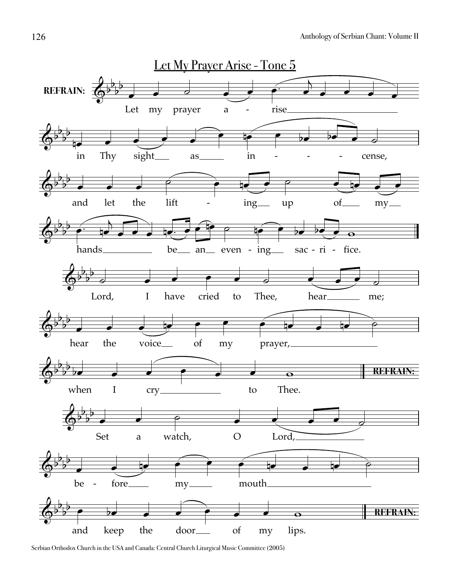

Serbian Orthodox Church in the USA and Canada: Central Church Liturgical Music Committee (2005)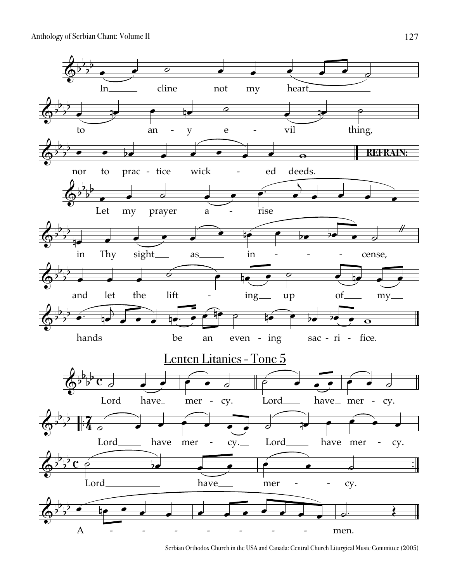Anthology of Serbian Chant: Volume II



Serbian Orthodox Church in the USA and Canada: Central Church Liturgical Music Committee (2005)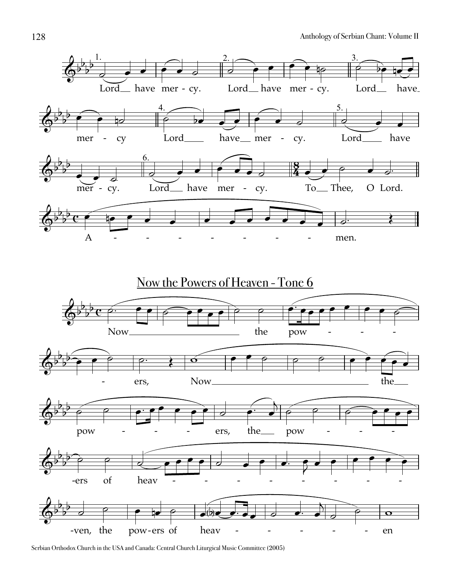

Serbian Orthodox Church in the USA and Canada: Central Church Liturgical Music Committee (2005)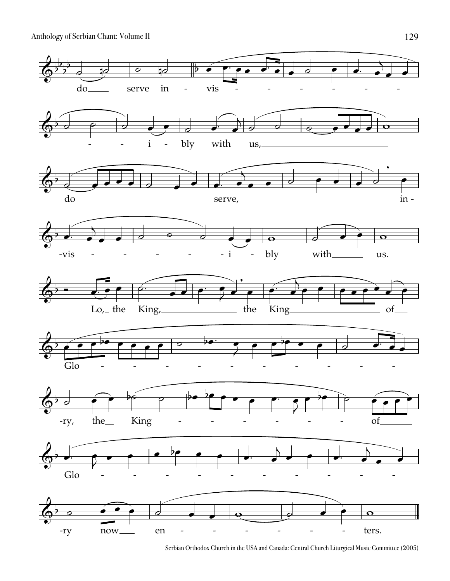Anthology of Serbian Chant: Volume II



Serbian Orthodox Church in the USA and Canada: Central Church Liturgical Music Committee (2005)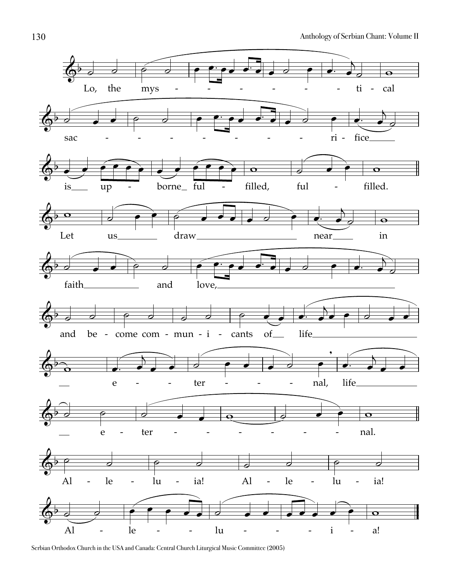

Serbian Orthodox Church in the USA and Canada: Central Church Liturgical Music Committee (2005)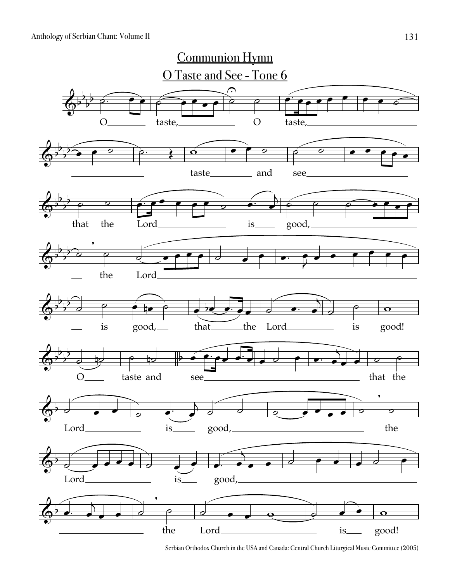

Serbian Orthodox Church in the USA and Canada: Central Church Liturgical Music Committee (2005)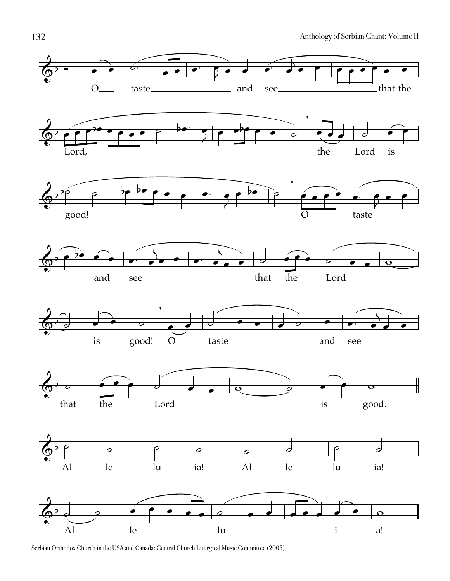

Serbian Orthodox Church in the USA and Canada: Central Church Liturgical Music Committee (2005)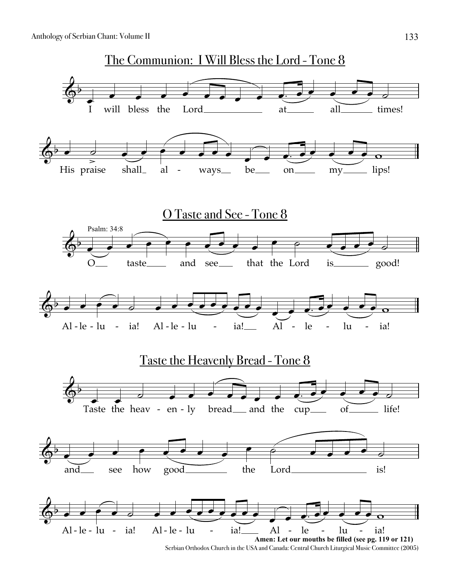